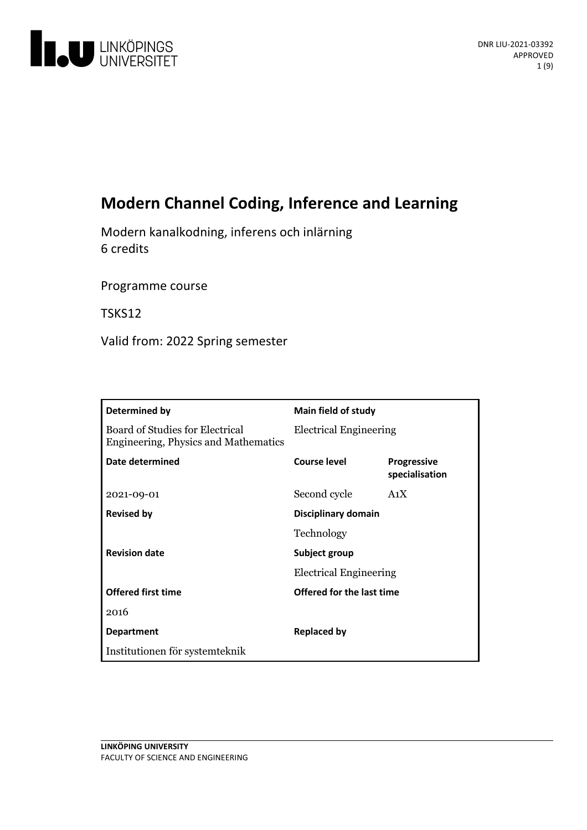

# **Modern Channel Coding, Inference and Learning**

Modern kanalkodning, inferens och inlärning 6 credits

Programme course

TSKS12

Valid from: 2022 Spring semester

| Determined by                                                           | Main field of study                            |                                      |  |
|-------------------------------------------------------------------------|------------------------------------------------|--------------------------------------|--|
| Board of Studies for Electrical<br>Engineering, Physics and Mathematics | <b>Electrical Engineering</b>                  |                                      |  |
| Date determined                                                         | Course level                                   | <b>Progressive</b><br>specialisation |  |
| 2021-09-01                                                              | Second cycle                                   | A <sub>1</sub> X                     |  |
| <b>Revised by</b>                                                       | Disciplinary domain                            |                                      |  |
|                                                                         | Technology                                     |                                      |  |
| <b>Revision date</b>                                                    | Subject group<br><b>Electrical Engineering</b> |                                      |  |
|                                                                         |                                                |                                      |  |
| <b>Offered first time</b>                                               | Offered for the last time                      |                                      |  |
| 2016                                                                    |                                                |                                      |  |
| <b>Department</b>                                                       | <b>Replaced by</b>                             |                                      |  |
| Institutionen för systemteknik                                          |                                                |                                      |  |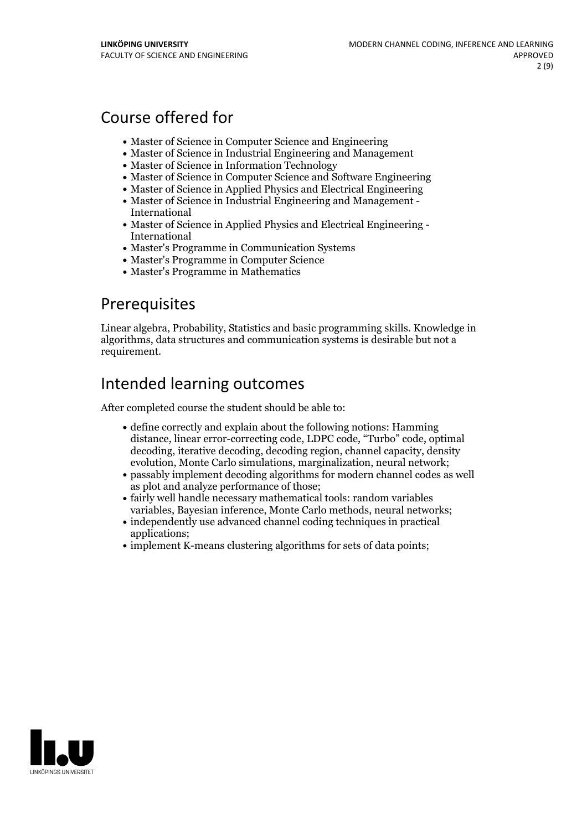# Course offered for

- Master of Science in Computer Science and Engineering
- Master of Science in Industrial Engineering and Management
- Master of Science in Information Technology
- Master of Science in Computer Science and Software Engineering
- Master of Science in Applied Physics and Electrical Engineering
- Master of Science in Industrial Engineering and Management International
- Master of Science in Applied Physics and Electrical Engineering International
- Master's Programme in Communication Systems
- Master's Programme in Computer Science
- Master's Programme in Mathematics

## Prerequisites

Linear algebra, Probability, Statistics and basic programming skills. Knowledge in algorithms, data structures and communication systems is desirable but not a requirement.

# Intended learning outcomes

After completed course the student should be able to:

- define correctly and explain about the following notions: Hamming distance, linear error-correcting code, LDPC code, "Turbo" code, optimal decoding, iterative decoding, decoding region, channel capacity, density evolution, Monte Carlo simulations, marginalization, neural network;
- passably implement decoding algorithms for modern channel codes as well as plot and analyze performance of those;
- fairly well handle necessary mathematical tools: random variables variables, Bayesian inference, Monte Carlo methods, neural networks;
- independently use advanced channel coding techniques in practical applications;
- implement K-means clustering algorithms for sets of data points;

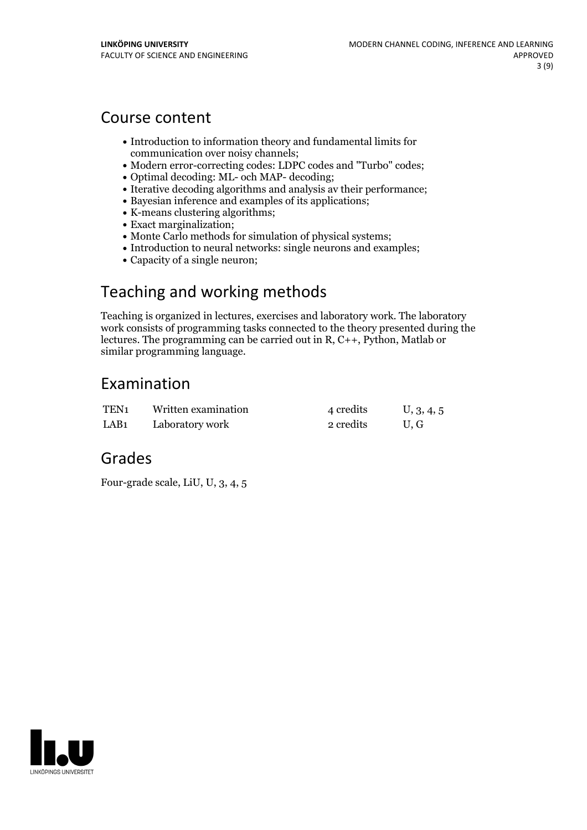## Course content

- Introduction to information theory and fundamental limits for communication over noisy channels;
- Modern error-correcting codes: LDPC codes and "Turbo" codes;
- Optimal decoding: ML- och MAP- decoding;
- Iterative decoding algorithms and analysis av their performance;
- Bayesian inference and examples of its applications;
- K-means clustering algorithms;
- Exact marginalization;
- Monte Carlo methods for simulation of physical systems;
- Introduction to neural networks: single neurons and examples;
- Capacity of a single neuron;

# Teaching and working methods

Teaching is organized in lectures, exercises and laboratory work. The laboratory work consists of programming tasks connected to the theory presented during the lectures. The programming can be carried out in R, C++, Python, Matlab or similar programming language.

## Examination

| TEN1             | Written examination | 4 credits | U, 3, 4, 5 |
|------------------|---------------------|-----------|------------|
| LAB <sub>1</sub> | Laboratory work     | 2 credits | U.G        |

## Grades

Four-grade scale, LiU, U, 3, 4, 5

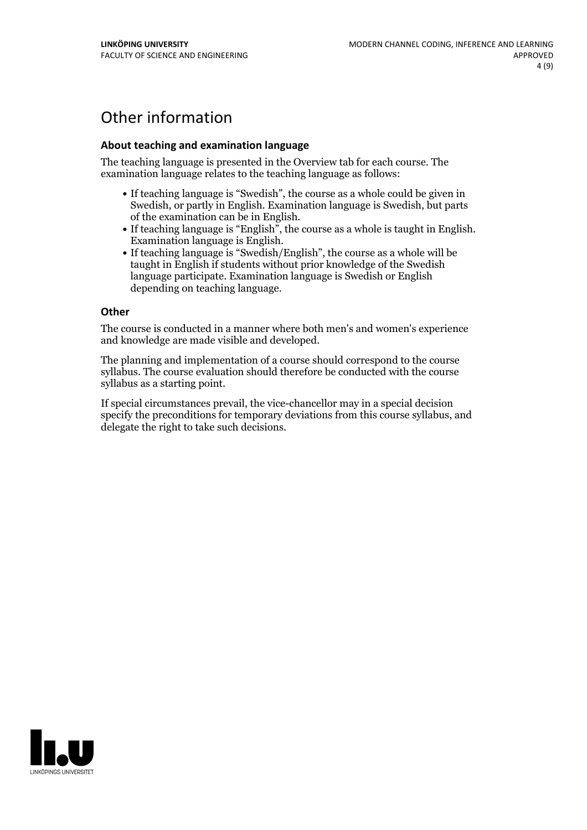# Other information

### **About teaching and examination language**

The teaching language is presented in the Overview tab for each course. The examination language relates to the teaching language as follows:

- If teaching language is "Swedish", the course as a whole could be given in Swedish, or partly in English. Examination language is Swedish, but parts
- of the examination can be in English. If teaching language is "English", the course as <sup>a</sup> whole is taught in English. Examination language is English. If teaching language is "Swedish/English", the course as <sup>a</sup> whole will be
- taught in English if students without prior knowledge of the Swedish language participate. Examination language is Swedish or English depending on teaching language.

#### **Other**

The course is conducted in a manner where both men's and women's experience and knowledge are made visible and developed.

The planning and implementation of a course should correspond to the course syllabus. The course evaluation should therefore be conducted with the course syllabus as a starting point.

If special circumstances prevail, the vice-chancellor may in a special decision specify the preconditions for temporary deviations from this course syllabus, and delegate the right to take such decisions.

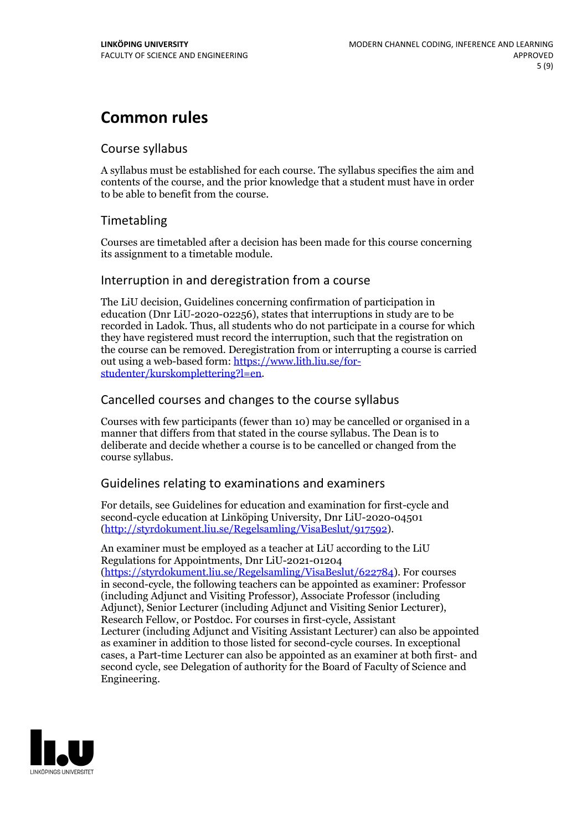# **Common rules**

## Course syllabus

A syllabus must be established for each course. The syllabus specifies the aim and contents of the course, and the prior knowledge that a student must have in order to be able to benefit from the course.

## Timetabling

Courses are timetabled after a decision has been made for this course concerning its assignment to a timetable module.

## Interruption in and deregistration from a course

The LiU decision, Guidelines concerning confirmation of participation in education (Dnr LiU-2020-02256), states that interruptions in study are to be recorded in Ladok. Thus, all students who do not participate in a course for which they have registered must record the interruption, such that the registration on the course can be removed. Deregistration from or interrupting a course is carried out using <sup>a</sup> web-based form: https://www.lith.liu.se/for- [studenter/kurskomplettering?l=en.](https://www.lith.liu.se/for-studenter/kurskomplettering?l=en)

## Cancelled courses and changes to the course syllabus

Courses with few participants (fewer than 10) may be cancelled or organised in a manner that differs from that stated in the course syllabus. The Dean is to deliberate and decide whether a course is to be cancelled or changed from the course syllabus.

## Guidelines relating to examinations and examiners

For details, see Guidelines for education and examination for first-cycle and second-cycle education at Linköping University, Dnr LiU-2020-04501 [\(http://styrdokument.liu.se/Regelsamling/VisaBeslut/917592\)](http://styrdokument.liu.se/Regelsamling/VisaBeslut/917592).

An examiner must be employed as a teacher at LiU according to the LiU Regulations for Appointments, Dnr LiU-2021-01204 [\(https://styrdokument.liu.se/Regelsamling/VisaBeslut/622784](https://styrdokument.liu.se/Regelsamling/VisaBeslut/622784)). For courses in second-cycle, the following teachers can be appointed as examiner: Professor (including Adjunct and Visiting Professor), Associate Professor (including Adjunct), Senior Lecturer (including Adjunct and Visiting Senior Lecturer), Research Fellow, or Postdoc. For courses in first-cycle, Assistant Lecturer (including Adjunct and Visiting Assistant Lecturer) can also be appointed as examiner in addition to those listed for second-cycle courses. In exceptional cases, a Part-time Lecturer can also be appointed as an examiner at both first- and second cycle, see Delegation of authority for the Board of Faculty of Science and Engineering.

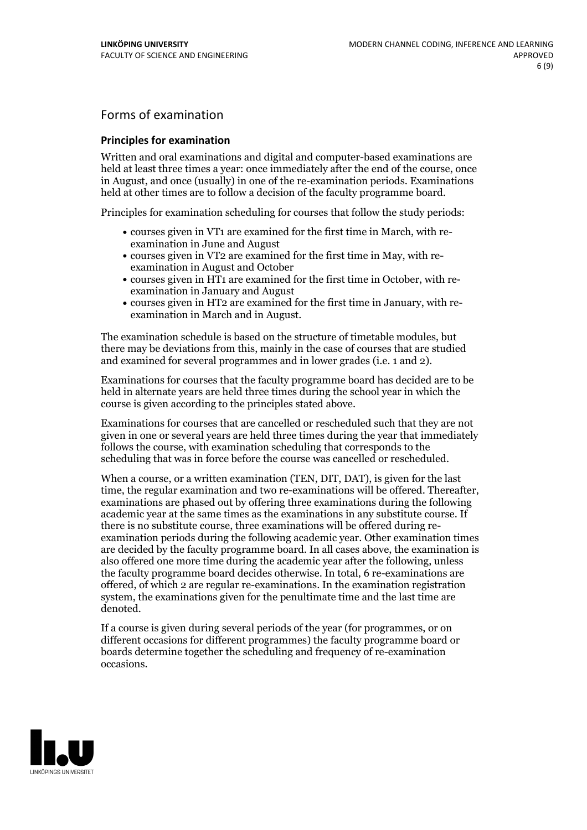## Forms of examination

### **Principles for examination**

Written and oral examinations and digital and computer-based examinations are held at least three times a year: once immediately after the end of the course, once in August, and once (usually) in one of the re-examination periods. Examinations held at other times are to follow a decision of the faculty programme board.

Principles for examination scheduling for courses that follow the study periods:

- courses given in VT1 are examined for the first time in March, with re-examination in June and August
- courses given in VT2 are examined for the first time in May, with re-examination in August and October
- courses given in HT1 are examined for the first time in October, with re-examination in January and August
- courses given in HT2 are examined for the first time in January, with re-examination in March and in August.

The examination schedule is based on the structure of timetable modules, but there may be deviations from this, mainly in the case of courses that are studied and examined for several programmes and in lower grades (i.e. 1 and 2).

Examinations for courses that the faculty programme board has decided are to be held in alternate years are held three times during the school year in which the course is given according to the principles stated above.

Examinations for courses that are cancelled orrescheduled such that they are not given in one or several years are held three times during the year that immediately follows the course, with examination scheduling that corresponds to the scheduling that was in force before the course was cancelled or rescheduled.

When a course, or a written examination (TEN, DIT, DAT), is given for the last time, the regular examination and two re-examinations will be offered. Thereafter, examinations are phased out by offering three examinations during the following academic year at the same times as the examinations in any substitute course. If there is no substitute course, three examinations will be offered during re- examination periods during the following academic year. Other examination times are decided by the faculty programme board. In all cases above, the examination is also offered one more time during the academic year after the following, unless the faculty programme board decides otherwise. In total, 6 re-examinations are offered, of which 2 are regular re-examinations. In the examination registration system, the examinations given for the penultimate time and the last time are denoted.

If a course is given during several periods of the year (for programmes, or on different occasions for different programmes) the faculty programme board or boards determine together the scheduling and frequency of re-examination occasions.

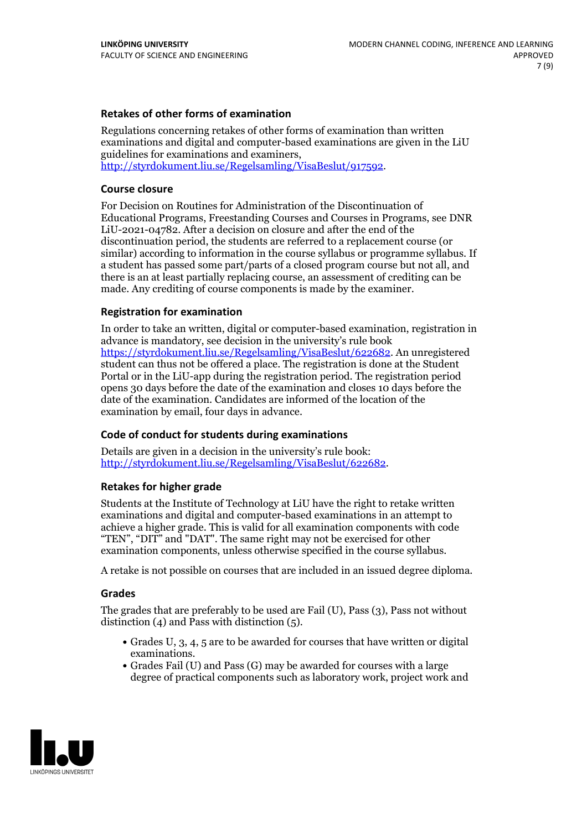### **Retakes of other forms of examination**

Regulations concerning retakes of other forms of examination than written examinations and digital and computer-based examinations are given in the LiU guidelines for examinations and examiners, [http://styrdokument.liu.se/Regelsamling/VisaBeslut/917592.](http://styrdokument.liu.se/Regelsamling/VisaBeslut/917592)

#### **Course closure**

For Decision on Routines for Administration of the Discontinuation of Educational Programs, Freestanding Courses and Courses in Programs, see DNR LiU-2021-04782. After a decision on closure and after the end of the discontinuation period, the students are referred to a replacement course (or similar) according to information in the course syllabus or programme syllabus. If a student has passed some part/parts of a closed program course but not all, and there is an at least partially replacing course, an assessment of crediting can be made. Any crediting of course components is made by the examiner.

### **Registration for examination**

In order to take an written, digital or computer-based examination, registration in advance is mandatory, see decision in the university's rule book [https://styrdokument.liu.se/Regelsamling/VisaBeslut/622682.](https://styrdokument.liu.se/Regelsamling/VisaBeslut/622682) An unregistered student can thus not be offered a place. The registration is done at the Student Portal or in the LiU-app during the registration period. The registration period opens 30 days before the date of the examination and closes 10 days before the date of the examination. Candidates are informed of the location of the examination by email, four days in advance.

### **Code of conduct for students during examinations**

Details are given in a decision in the university's rule book: <http://styrdokument.liu.se/Regelsamling/VisaBeslut/622682>.

#### **Retakes for higher grade**

Students at the Institute of Technology at LiU have the right to retake written examinations and digital and computer-based examinations in an attempt to achieve a higher grade. This is valid for all examination components with code "TEN", "DIT" and "DAT". The same right may not be exercised for other examination components, unless otherwise specified in the course syllabus.

A retake is not possible on courses that are included in an issued degree diploma.

#### **Grades**

The grades that are preferably to be used are Fail (U), Pass (3), Pass not without distinction  $(4)$  and Pass with distinction  $(5)$ .

- Grades U, 3, 4, 5 are to be awarded for courses that have written or digital examinations.<br>• Grades Fail (U) and Pass (G) may be awarded for courses with a large
- degree of practical components such as laboratory work, project work and

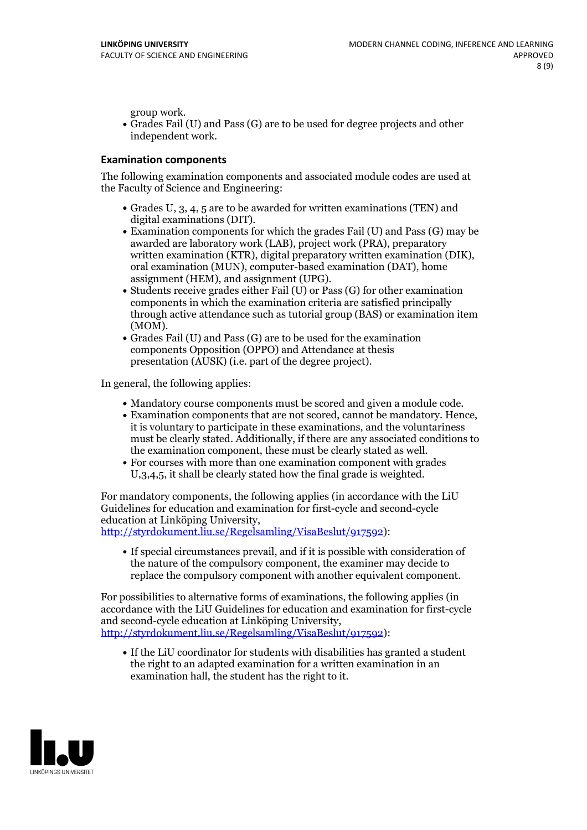group work.<br>• Grades Fail (U) and Pass (G) are to be used for degree projects and other independent work.

#### **Examination components**

The following examination components and associated module codes are used at the Faculty of Science and Engineering:

- Grades U, 3, 4, 5 are to be awarded for written examinations (TEN) and
- digital examinations (DIT).<br>• Examination components for which the grades Fail (U) and Pass (G) may be awarded are laboratory work (LAB), project work (PRA), preparatory written examination (KTR), digital preparatory written examination (DIK), oral examination (MUN), computer-based examination (DAT), home
- assignment (HEM), and assignment (UPG).<br>• Students receive grades either Fail (U) or Pass (G) for other examination components in which the examination criteria are satisfied principally through active attendance such as tutorial group (BAS) or examination item
- (MOM).<br>• Grades Fail (U) and Pass (G) are to be used for the examination components Opposition (OPPO) and Attendance at thesis presentation (AUSK) (i.e. part of the degree project).

In general, the following applies:

- 
- Mandatory course components must be scored and given <sup>a</sup> module code. Examination components that are not scored, cannot be mandatory. Hence, it is voluntary to participate in these examinations, and the voluntariness must be clearly stated. Additionally, if there are any associated conditions to
- the examination component, these must be clearly stated as well. For courses with more than one examination component with grades U,3,4,5, it shall be clearly stated how the final grade is weighted.

For mandatory components, the following applies (in accordance with the LiU Guidelines for education and examination for first-cycle and second-cycle

[http://styrdokument.liu.se/Regelsamling/VisaBeslut/917592\)](http://styrdokument.liu.se/Regelsamling/VisaBeslut/917592):

If special circumstances prevail, and if it is possible with consideration of the nature of the compulsory component, the examiner may decide to replace the compulsory component with another equivalent component.

For possibilities to alternative forms of examinations, the following applies (in accordance with the LiU Guidelines for education and examination for first-cycle [http://styrdokument.liu.se/Regelsamling/VisaBeslut/917592\)](http://styrdokument.liu.se/Regelsamling/VisaBeslut/917592):

If the LiU coordinator for students with disabilities has granted a student the right to an adapted examination for a written examination in an examination hall, the student has the right to it.